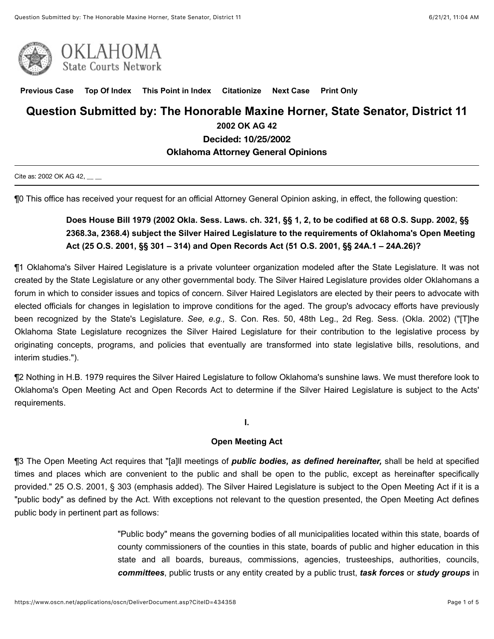



**[Previous Case](javascript:GetPrevious();) [Top Of Index](javascript:GetIndex();) [This Point in Index](javascript:GetHereInIndex();) [Citationize](javascript:GetCitationize();) [Next Case](javascript:GetNext();) [Print Only](javascript:PrintOnly();)**

## **Question Submitted by: The Honorable Maxine Horner, State Senator, District 11 2002 OK AG 42**

**Decided: 10/25/2002**

#### **Oklahoma Attorney General Opinions**

Cite as: 2002 OK AG 42, \_\_ \_

¶0 This office has received your request for an official Attorney General Opinion asking, in effect, the following question:

# **Does House Bill 1979 (2002 Okla. Sess. Laws. ch. 321, §§ 1, 2, to be codified at 68 O.S. Supp. 2002, §§ 2368.3a, 2368.4) subject the Silver Haired Legislature to the requirements of Oklahoma's Open Meeting Act (25 O.S. 2001, §§ 301 – 314) and Open Records Act (51 O.S. 2001, §§ 24A.1 – 24A.26)?**

¶1 Oklahoma's Silver Haired Legislature is a private volunteer organization modeled after the State Legislature. It was not created by the State Legislature or any other governmental body. The Silver Haired Legislature provides older Oklahomans a forum in which to consider issues and topics of concern. Silver Haired Legislators are elected by their peers to advocate with elected officials for changes in legislation to improve conditions for the aged. The group's advocacy efforts have previously been recognized by the State's Legislature. *See, e.g.,* S. Con. Res. 50, 48th Leg., 2d Reg. Sess. (Okla. 2002) ("[T]he Oklahoma State Legislature recognizes the Silver Haired Legislature for their contribution to the legislative process by originating concepts, programs, and policies that eventually are transformed into state legislative bills, resolutions, and interim studies.").

¶2 Nothing in H.B. 1979 requires the Silver Haired Legislature to follow Oklahoma's sunshine laws. We must therefore look to Oklahoma's Open Meeting Act and Open Records Act to determine if the Silver Haired Legislature is subject to the Acts' requirements.

**I.**

#### **Open Meeting Act**

¶3 The Open Meeting Act requires that "[a]ll meetings of *public bodies, as defined hereinafter,* shall be held at specified times and places which are convenient to the public and shall be open to the public, except as hereinafter specifically provided." 25 O.S. 2001, § 303 (emphasis added). The Silver Haired Legislature is subject to the Open Meeting Act if it is a "public body" as defined by the Act. With exceptions not relevant to the question presented, the Open Meeting Act defines public body in pertinent part as follows:

> "Public body" means the governing bodies of all municipalities located within this state, boards of county commissioners of the counties in this state, boards of public and higher education in this state and all boards, bureaus, commissions, agencies, trusteeships, authorities, councils, *committees*, public trusts or any entity created by a public trust, *task forces* or *study groups* in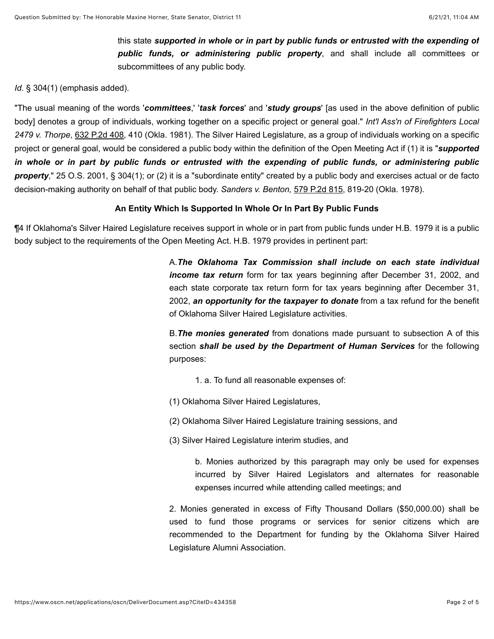this state *supported in whole or in part by public funds or entrusted with the expending of public funds, or administering public property*, and shall include all committees or subcommittees of any public body.

#### *Id.* § 304(1) (emphasis added).

"The usual meaning of the words '*committees*,' '*task forces*' and '*study groups*' [as used in the above definition of public body] denotes a group of individuals, working together on a specific project or general goal." *Int'l Ass'n of Firefighters Local 2479 v. Thorpe*, [632 P.2d 408](https://www.oscn.net/applications/oscn/deliverdocument.asp?citeid=5043), 410 (Okla. 1981). The Silver Haired Legislature, as a group of individuals working on a specific project or general goal, would be considered a public body within the definition of the Open Meeting Act if (1) it is "*supported in whole or in part by public funds or entrusted with the expending of public funds, or administering public property*," 25 O.S. 2001, § 304(1); or (2) it is a "subordinate entity" created by a public body and exercises actual or de facto decision-making authority on behalf of that public body. *Sanders v. Benton,* [579 P.2d 815](https://www.oscn.net/applications/oscn/deliverdocument.asp?citeid=47766), 819-20 (Okla. 1978).

#### **An Entity Which Is Supported In Whole Or In Part By Public Funds**

¶4 If Oklahoma's Silver Haired Legislature receives support in whole or in part from public funds under H.B. 1979 it is a public body subject to the requirements of the Open Meeting Act. H.B. 1979 provides in pertinent part:

> A.*The Oklahoma Tax Commission shall include on each state individual income tax return* form for tax years beginning after December 31, 2002, and each state corporate tax return form for tax years beginning after December 31, 2002, *an opportunity for the taxpayer to donate* from a tax refund for the benefit of Oklahoma Silver Haired Legislature activities.

> B.*The monies generated* from donations made pursuant to subsection A of this section *shall be used by the Department of Human Services* for the following purposes:

1. a. To fund all reasonable expenses of:

(1) Oklahoma Silver Haired Legislatures,

(2) Oklahoma Silver Haired Legislature training sessions, and

(3) Silver Haired Legislature interim studies, and

b. Monies authorized by this paragraph may only be used for expenses incurred by Silver Haired Legislators and alternates for reasonable expenses incurred while attending called meetings; and

2. Monies generated in excess of Fifty Thousand Dollars (\$50,000.00) shall be used to fund those programs or services for senior citizens which are recommended to the Department for funding by the Oklahoma Silver Haired Legislature Alumni Association.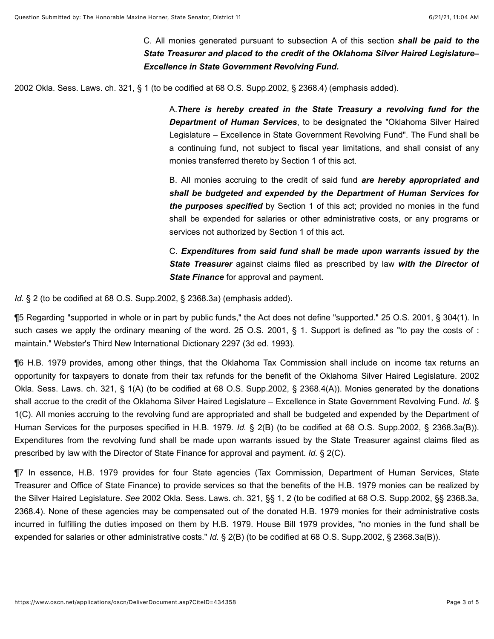C. All monies generated pursuant to subsection A of this section *shall be paid to the State Treasurer and placed to the credit of the Oklahoma Silver Haired Legislature– Excellence in State Government Revolving Fund.*

2002 Okla. Sess. Laws. ch. 321, § 1 (to be codified at 68 O.S. Supp.2002, § 2368.4) (emphasis added).

A.*There is hereby created in the State Treasury a revolving fund for the Department of Human Services*, to be designated the "Oklahoma Silver Haired Legislature – Excellence in State Government Revolving Fund". The Fund shall be a continuing fund, not subject to fiscal year limitations, and shall consist of any monies transferred thereto by Section 1 of this act.

B. All monies accruing to the credit of said fund *are hereby appropriated and shall be budgeted and expended by the Department of Human Services for the purposes specified* by Section 1 of this act; provided no monies in the fund shall be expended for salaries or other administrative costs, or any programs or services not authorized by Section 1 of this act.

C. *Expenditures from said fund shall be made upon warrants issued by the State Treasurer* against claims filed as prescribed by law *with the Director of State Finance* for approval and payment.

*Id.* § 2 (to be codified at 68 O.S. Supp.2002, § 2368.3a) (emphasis added).

¶5 Regarding "supported in whole or in part by public funds," the Act does not define "supported." 25 O.S. 2001, § 304(1). In such cases we apply the ordinary meaning of the word. 25 O.S. 2001, § 1. Support is defined as "to pay the costs of : maintain." Webster's Third New International Dictionary 2297 (3d ed. 1993).

¶6 H.B. 1979 provides, among other things, that the Oklahoma Tax Commission shall include on income tax returns an opportunity for taxpayers to donate from their tax refunds for the benefit of the Oklahoma Silver Haired Legislature. 2002 Okla. Sess. Laws. ch. 321, § 1(A) (to be codified at 68 O.S. Supp.2002, § 2368.4(A)). Monies generated by the donations shall accrue to the credit of the Oklahoma Silver Haired Legislature – Excellence in State Government Revolving Fund. *Id.* § 1(C). All monies accruing to the revolving fund are appropriated and shall be budgeted and expended by the Department of Human Services for the purposes specified in H.B. 1979. *Id.* § 2(B) (to be codified at 68 O.S. Supp.2002, § 2368.3a(B)). Expenditures from the revolving fund shall be made upon warrants issued by the State Treasurer against claims filed as prescribed by law with the Director of State Finance for approval and payment. *Id.* § 2(C).

¶7 In essence, H.B. 1979 provides for four State agencies (Tax Commission, Department of Human Services, State Treasurer and Office of State Finance) to provide services so that the benefits of the H.B. 1979 monies can be realized by the Silver Haired Legislature. *See* 2002 Okla. Sess. Laws. ch. 321, §§ 1, 2 (to be codified at 68 O.S. Supp.2002, §§ 2368.3a, 2368.4). None of these agencies may be compensated out of the donated H.B. 1979 monies for their administrative costs incurred in fulfilling the duties imposed on them by H.B. 1979. House Bill 1979 provides, "no monies in the fund shall be expended for salaries or other administrative costs." *Id.* § 2(B) (to be codified at 68 O.S. Supp.2002, § 2368.3a(B)).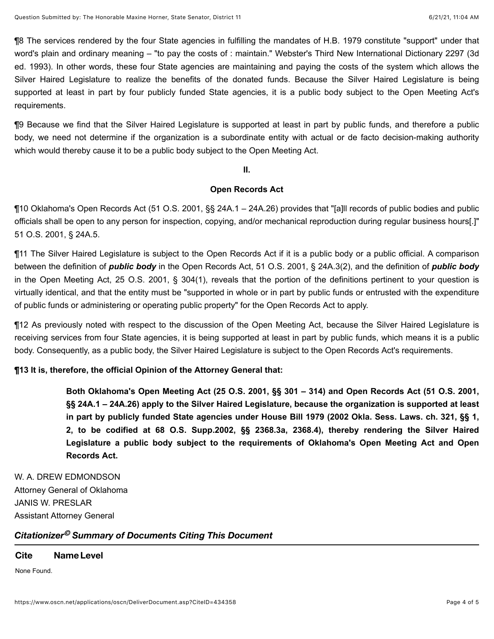¶8 The services rendered by the four State agencies in fulfilling the mandates of H.B. 1979 constitute "support" under that word's plain and ordinary meaning – "to pay the costs of : maintain." Webster's Third New International Dictionary 2297 (3d ed. 1993). In other words, these four State agencies are maintaining and paying the costs of the system which allows the Silver Haired Legislature to realize the benefits of the donated funds. Because the Silver Haired Legislature is being supported at least in part by four publicly funded State agencies, it is a public body subject to the Open Meeting Act's requirements.

¶9 Because we find that the Silver Haired Legislature is supported at least in part by public funds, and therefore a public body, we need not determine if the organization is a subordinate entity with actual or de facto decision-making authority which would thereby cause it to be a public body subject to the Open Meeting Act.

**II.**

#### **Open Records Act**

¶10 Oklahoma's Open Records Act (51 O.S. 2001, §§ 24A.1 – 24A.26) provides that "[a]ll records of public bodies and public officials shall be open to any person for inspection, copying, and/or mechanical reproduction during regular business hours[.]" 51 O.S. 2001, § 24A.5.

¶11 The Silver Haired Legislature is subject to the Open Records Act if it is a public body or a public official. A comparison between the definition of *public body* in the Open Records Act, 51 O.S. 2001, § 24A.3(2), and the definition of *public body* in the Open Meeting Act, 25 O.S. 2001, § 304(1), reveals that the portion of the definitions pertinent to your question is virtually identical, and that the entity must be "supported in whole or in part by public funds or entrusted with the expenditure of public funds or administering or operating public property" for the Open Records Act to apply.

¶12 As previously noted with respect to the discussion of the Open Meeting Act, because the Silver Haired Legislature is receiving services from four State agencies, it is being supported at least in part by public funds, which means it is a public body. Consequently, as a public body, the Silver Haired Legislature is subject to the Open Records Act's requirements.

### **¶13 It is, therefore, the official Opinion of the Attorney General that:**

**Both Oklahoma's Open Meeting Act (25 O.S. 2001, §§ 301 – 314) and Open Records Act (51 O.S. 2001, §§ 24A.1 – 24A.26) apply to the Silver Haired Legislature, because the organization is supported at least in part by publicly funded State agencies under House Bill 1979 (2002 Okla. Sess. Laws. ch. 321, §§ 1, 2, to be codified at 68 O.S. Supp.2002, §§ 2368.3a, 2368.4), thereby rendering the Silver Haired Legislature a public body subject to the requirements of Oklahoma's Open Meeting Act and Open Records Act.**

W. A. DREW EDMONDSON Attorney General of Oklahoma JANIS W. PRESLAR Assistant Attorney General

## *Citationizer Summary of Documents Citing This Document ©*

### **Cite NameLevel**

None Found.